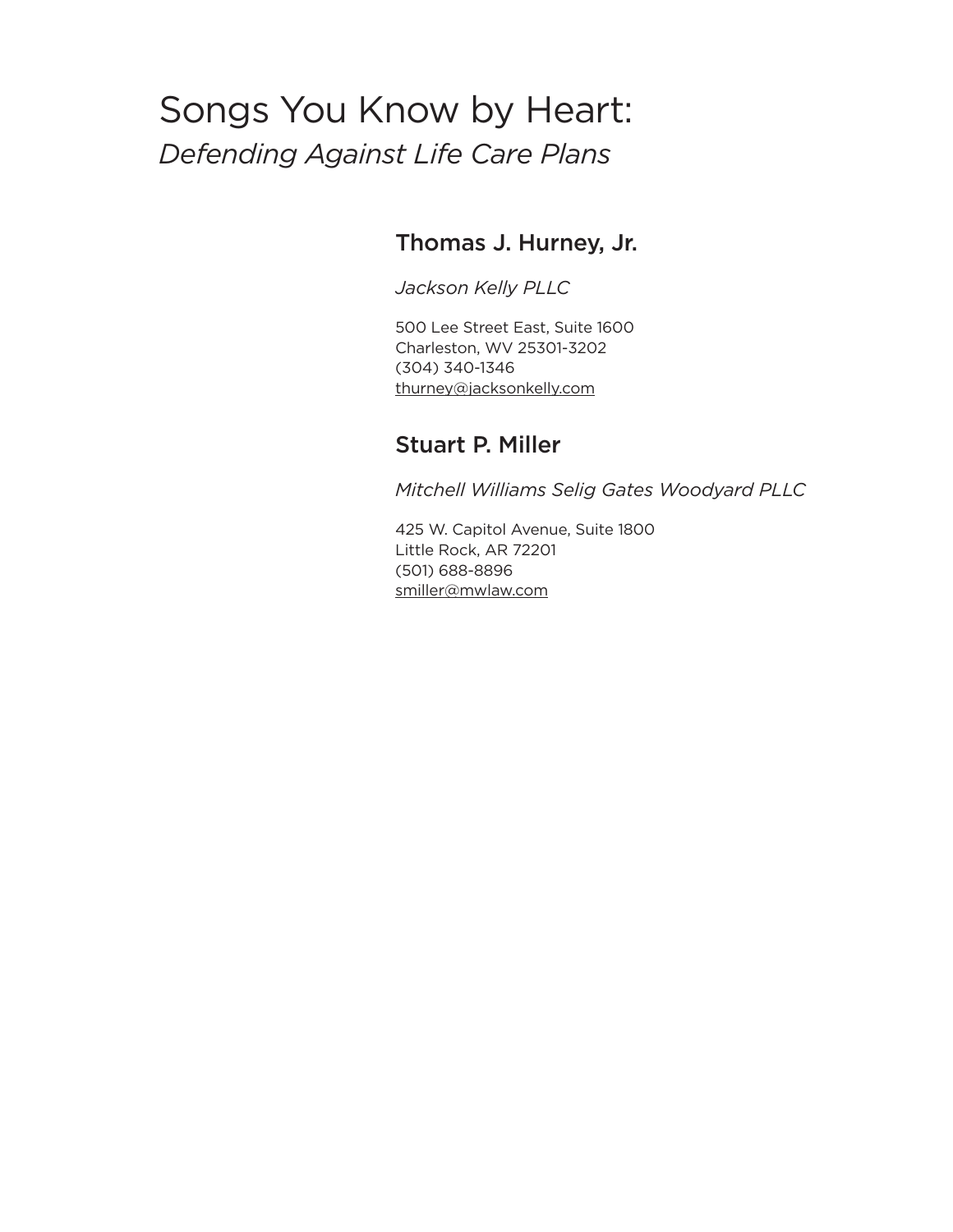# Songs You Know by Heart: *Defending Against Life Care Plans*

# Thomas J. Hurney, Jr.

*Jackson Kelly PLLC*

500 Lee Street East, Suite 1600 Charleston, WV 25301-3202 (304) 340-1346 thurney@jacksonkelly.com

# Stuart P. Miller

*Mitchell Williams Selig Gates Woodyard PLLC*

425 W. Capitol Avenue, Suite 1800 Little Rock, AR 72201 (501) 688-8896 smiller@mwlaw.com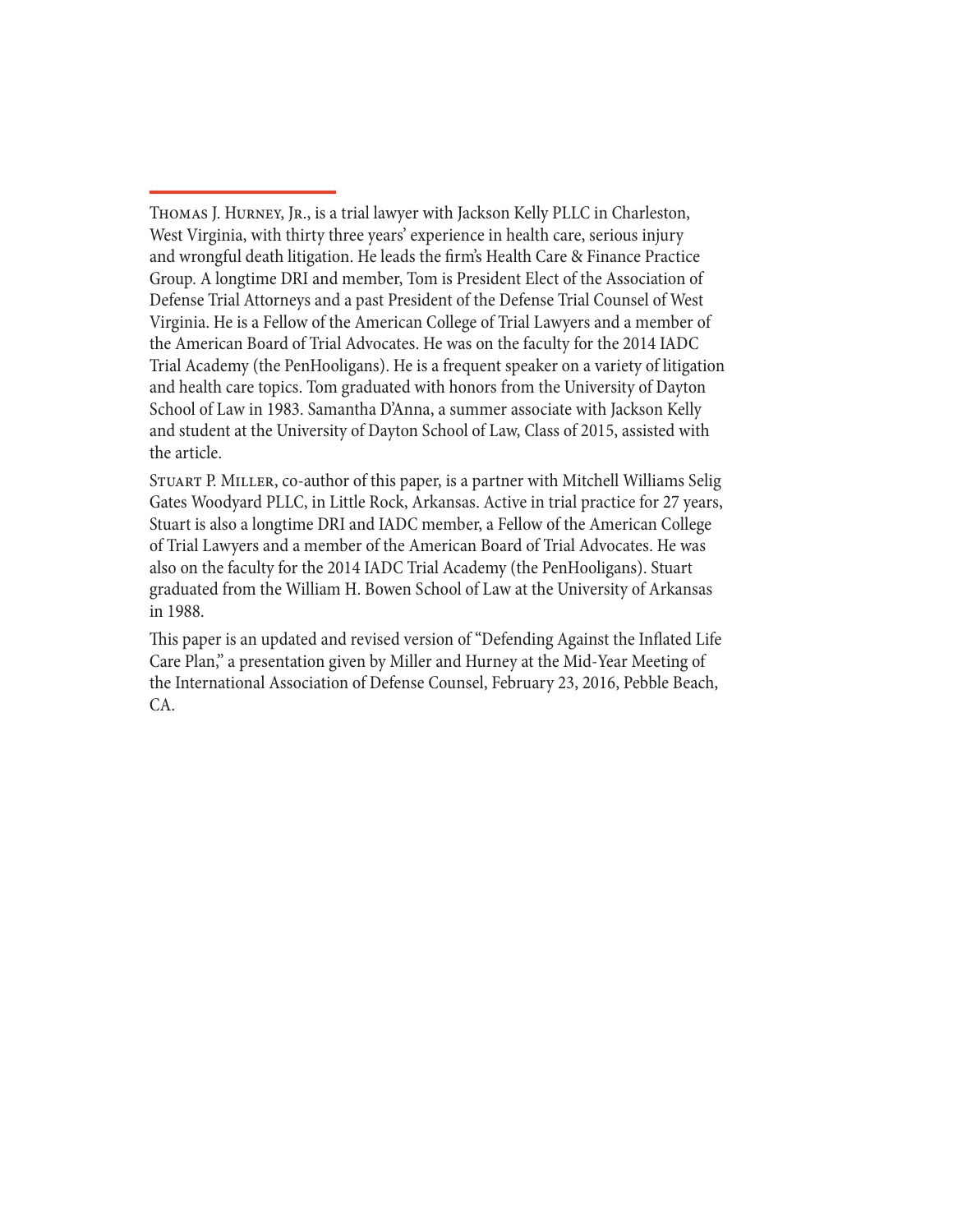Stuart P. Miller, co-author of this paper, is a partner with Mitchell Williams Selig Gates Woodyard PLLC, in Little Rock, Arkansas. Active in trial practice for 27 years, Stuart is also a longtime DRI and IADC member, a Fellow of the American College of Trial Lawyers and a member of the American Board of Trial Advocates. He was also on the faculty for the 2014 IADC Trial Academy (the PenHooligans). Stuart graduated from the William H. Bowen School of Law at the University of Arkansas in 1988.

This paper is an updated and revised version of "Defending Against the Inflated Life Care Plan," a presentation given by Miller and Hurney at the Mid-Year Meeting of the International Association of Defense Counsel, February 23, 2016, Pebble Beach, CA.

THOMAS J. HURNEY, JR., is a trial lawyer with Jackson Kelly PLLC in Charleston, West Virginia, with thirty three years' experience in health care, serious injury and wrongful death litigation. He leads the firm's Health Care & Finance Practice Group. A longtime DRI and member, Tom is President Elect of the Association of Defense Trial Attorneys and a past President of the Defense Trial Counsel of West Virginia. He is a Fellow of the American College of Trial Lawyers and a member of the American Board of Trial Advocates. He was on the faculty for the 2014 IADC Trial Academy (the PenHooligans). He is a frequent speaker on a variety of litigation and health care topics. Tom graduated with honors from the University of Dayton School of Law in 1983. Samantha D'Anna, a summer associate with Jackson Kelly and student at the University of Dayton School of Law, Class of 2015, assisted with the article.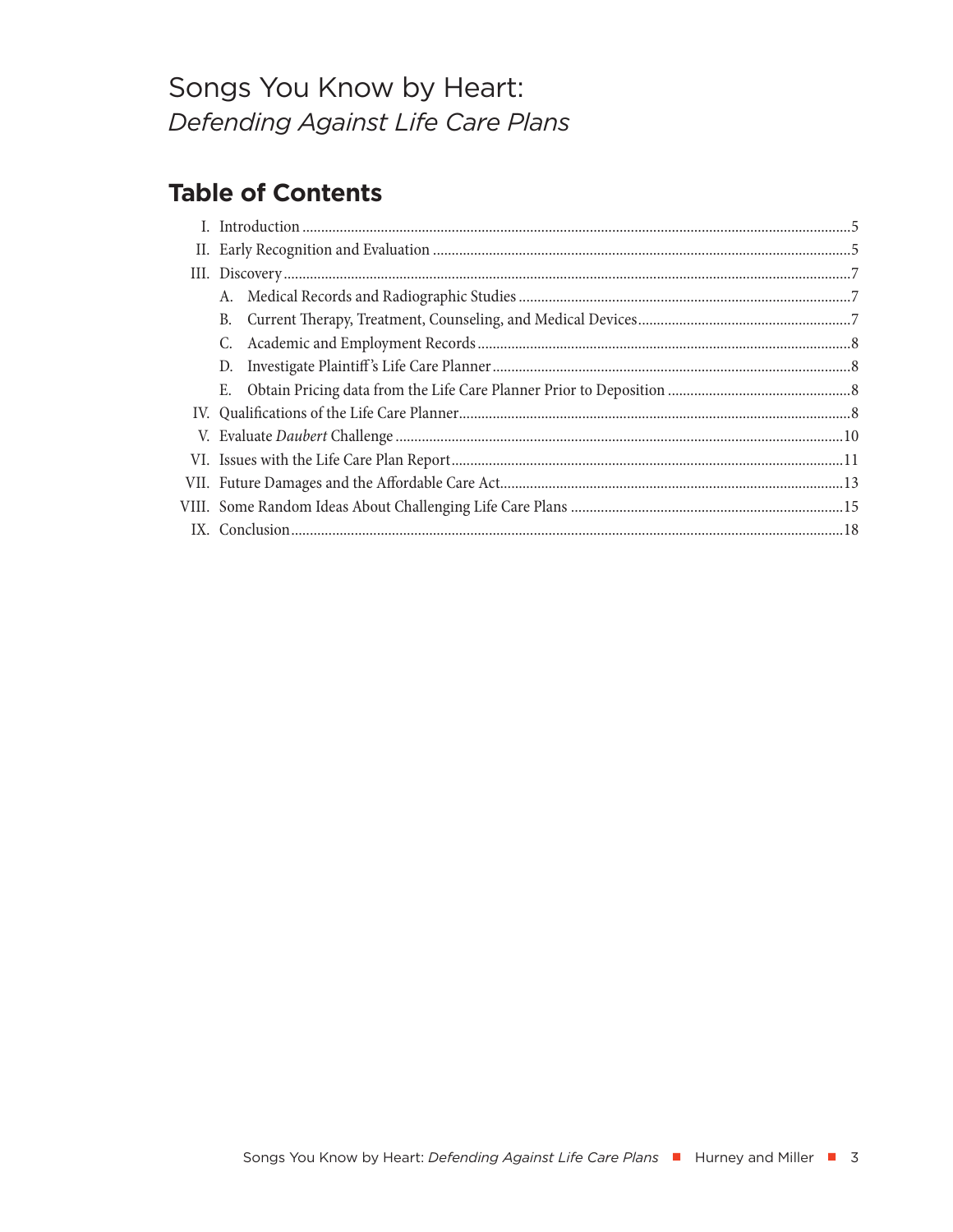# Songs You Know by Heart: Defending Against Life Care Plans

# **Table of Contents**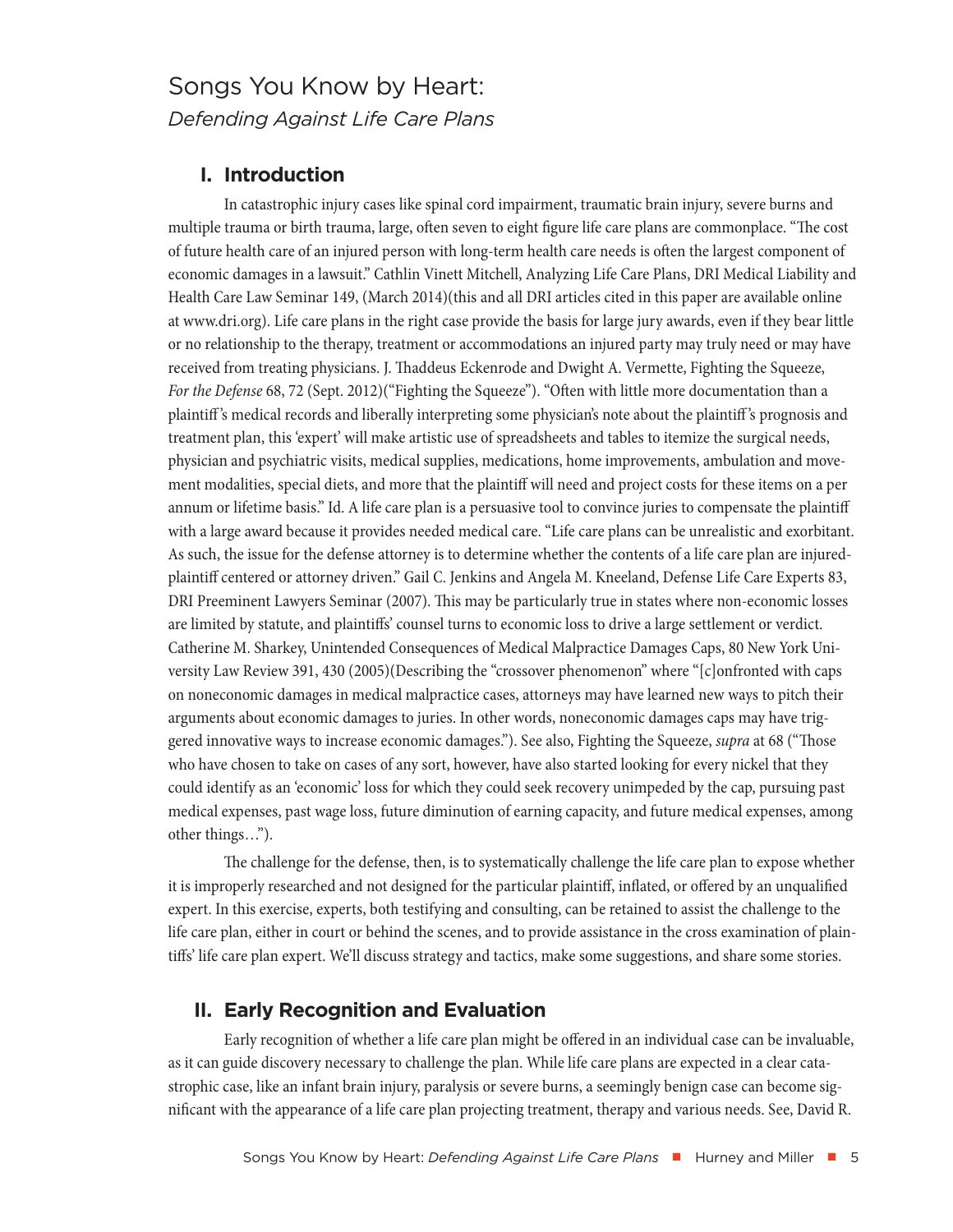# <span id="page-4-0"></span>Songs You Know by Heart: *Defending Against Life Care Plans*

# **I. Introduction**

In catastrophic injury cases like spinal cord impairment, traumatic brain injury, severe burns and multiple trauma or birth trauma, large, often seven to eight figure life care plans are commonplace. "The cost of future health care of an injured person with long-term health care needs is often the largest component of economic damages in a lawsuit." Cathlin Vinett Mitchell, Analyzing Life Care Plans, DRI Medical Liability and Health Care Law Seminar 149, (March 2014)(this and all DRI articles cited in this paper are available online at www.dri.org). Life care plans in the right case provide the basis for large jury awards, even if they bear little or no relationship to the therapy, treatment or accommodations an injured party may truly need or may have received from treating physicians. J. Thaddeus Eckenrode and Dwight A. Vermette, Fighting the Squeeze, *For the Defense* 68, 72 (Sept. 2012)("Fighting the Squeeze"). "Often with little more documentation than a plaintiff 's medical records and liberally interpreting some physician's note about the plaintiff 's prognosis and treatment plan, this 'expert' will make artistic use of spreadsheets and tables to itemize the surgical needs, physician and psychiatric visits, medical supplies, medications, home improvements, ambulation and movement modalities, special diets, and more that the plaintiff will need and project costs for these items on a per annum or lifetime basis." Id. A life care plan is a persuasive tool to convince juries to compensate the plaintiff with a large award because it provides needed medical care. "Life care plans can be unrealistic and exorbitant. As such, the issue for the defense attorney is to determine whether the contents of a life care plan are injuredplaintiff centered or attorney driven." Gail C. Jenkins and Angela M. Kneeland, Defense Life Care Experts 83, DRI Preeminent Lawyers Seminar (2007). This may be particularly true in states where non-economic losses are limited by statute, and plaintiffs' counsel turns to economic loss to drive a large settlement or verdict. Catherine M. Sharkey, Unintended Consequences of Medical Malpractice Damages Caps, 80 New York University Law Review 391, 430 (2005)(Describing the "crossover phenomenon" where "[c]onfronted with caps on noneconomic damages in medical malpractice cases, attorneys may have learned new ways to pitch their arguments about economic damages to juries. In other words, noneconomic damages caps may have triggered innovative ways to increase economic damages."). See also, Fighting the Squeeze, *supra* at 68 ("Those who have chosen to take on cases of any sort, however, have also started looking for every nickel that they could identify as an 'economic' loss for which they could seek recovery unimpeded by the cap, pursuing past medical expenses, past wage loss, future diminution of earning capacity, and future medical expenses, among other things…").

The challenge for the defense, then, is to systematically challenge the life care plan to expose whether it is improperly researched and not designed for the particular plaintiff, inflated, or offered by an unqualified expert. In this exercise, experts, both testifying and consulting, can be retained to assist the challenge to the life care plan, either in court or behind the scenes, and to provide assistance in the cross examination of plaintiffs' life care plan expert. We'll discuss strategy and tactics, make some suggestions, and share some stories.

## **II. Early Recognition and Evaluation**

Early recognition of whether a life care plan might be offered in an individual case can be invaluable, as it can guide discovery necessary to challenge the plan. While life care plans are expected in a clear catastrophic case, like an infant brain injury, paralysis or severe burns, a seemingly benign case can become significant with the appearance of a life care plan projecting treatment, therapy and various needs. See, David R.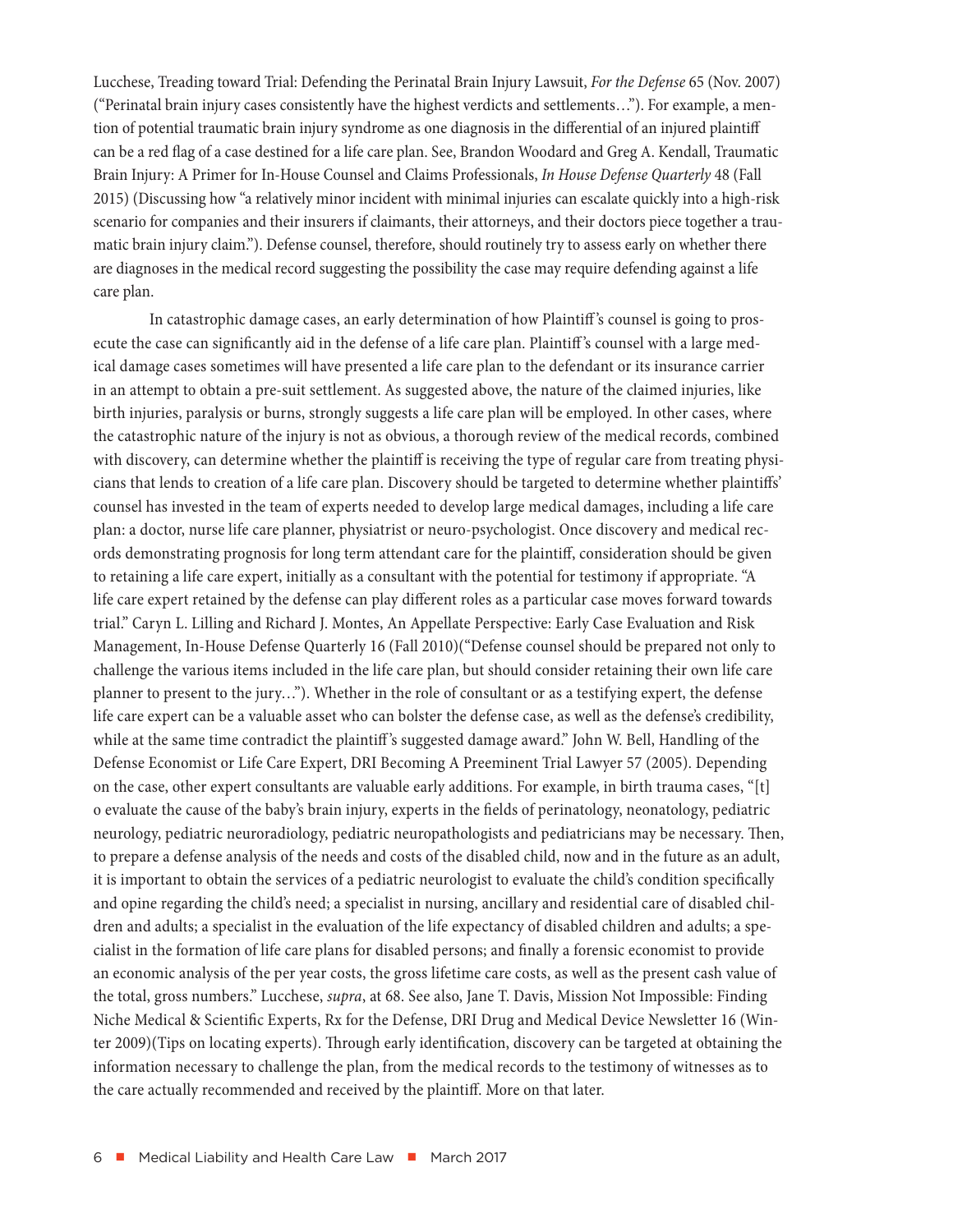Lucchese, Treading toward Trial: Defending the Perinatal Brain Injury Lawsuit, *For the Defense* 65 (Nov. 2007) ("Perinatal brain injury cases consistently have the highest verdicts and settlements…"). For example, a mention of potential traumatic brain injury syndrome as one diagnosis in the differential of an injured plaintiff can be a red flag of a case destined for a life care plan. See, Brandon Woodard and Greg A. Kendall, Traumatic Brain Injury: A Primer for In-House Counsel and Claims Professionals, *In House Defense Quarterly* 48 (Fall 2015) (Discussing how "a relatively minor incident with minimal injuries can escalate quickly into a high-risk scenario for companies and their insurers if claimants, their attorneys, and their doctors piece together a traumatic brain injury claim."). Defense counsel, therefore, should routinely try to assess early on whether there are diagnoses in the medical record suggesting the possibility the case may require defending against a life care plan.

In catastrophic damage cases, an early determination of how Plaintiff 's counsel is going to prosecute the case can significantly aid in the defense of a life care plan. Plaintiff 's counsel with a large medical damage cases sometimes will have presented a life care plan to the defendant or its insurance carrier in an attempt to obtain a pre-suit settlement. As suggested above, the nature of the claimed injuries, like birth injuries, paralysis or burns, strongly suggests a life care plan will be employed. In other cases, where the catastrophic nature of the injury is not as obvious, a thorough review of the medical records, combined with discovery, can determine whether the plaintiff is receiving the type of regular care from treating physicians that lends to creation of a life care plan. Discovery should be targeted to determine whether plaintiffs' counsel has invested in the team of experts needed to develop large medical damages, including a life care plan: a doctor, nurse life care planner, physiatrist or neuro-psychologist. Once discovery and medical records demonstrating prognosis for long term attendant care for the plaintiff, consideration should be given to retaining a life care expert, initially as a consultant with the potential for testimony if appropriate. "A life care expert retained by the defense can play different roles as a particular case moves forward towards trial." Caryn L. Lilling and Richard J. Montes, An Appellate Perspective: Early Case Evaluation and Risk Management, In-House Defense Quarterly 16 (Fall 2010)("Defense counsel should be prepared not only to challenge the various items included in the life care plan, but should consider retaining their own life care planner to present to the jury…"). Whether in the role of consultant or as a testifying expert, the defense life care expert can be a valuable asset who can bolster the defense case, as well as the defense's credibility, while at the same time contradict the plaintiff 's suggested damage award." John W. Bell, Handling of the Defense Economist or Life Care Expert, DRI Becoming A Preeminent Trial Lawyer 57 (2005). Depending on the case, other expert consultants are valuable early additions. For example, in birth trauma cases, "[t] o evaluate the cause of the baby's brain injury, experts in the fields of perinatology, neonatology, pediatric neurology, pediatric neuroradiology, pediatric neuropathologists and pediatricians may be necessary. Then, to prepare a defense analysis of the needs and costs of the disabled child, now and in the future as an adult, it is important to obtain the services of a pediatric neurologist to evaluate the child's condition specifically and opine regarding the child's need; a specialist in nursing, ancillary and residential care of disabled children and adults; a specialist in the evaluation of the life expectancy of disabled children and adults; a specialist in the formation of life care plans for disabled persons; and finally a forensic economist to provide an economic analysis of the per year costs, the gross lifetime care costs, as well as the present cash value of the total, gross numbers." Lucchese, *supra*, at 68. See also, Jane T. Davis, Mission Not Impossible: Finding Niche Medical & Scientific Experts, Rx for the Defense, DRI Drug and Medical Device Newsletter 16 (Winter 2009)(Tips on locating experts). Through early identification, discovery can be targeted at obtaining the information necessary to challenge the plan, from the medical records to the testimony of witnesses as to the care actually recommended and received by the plaintiff. More on that later.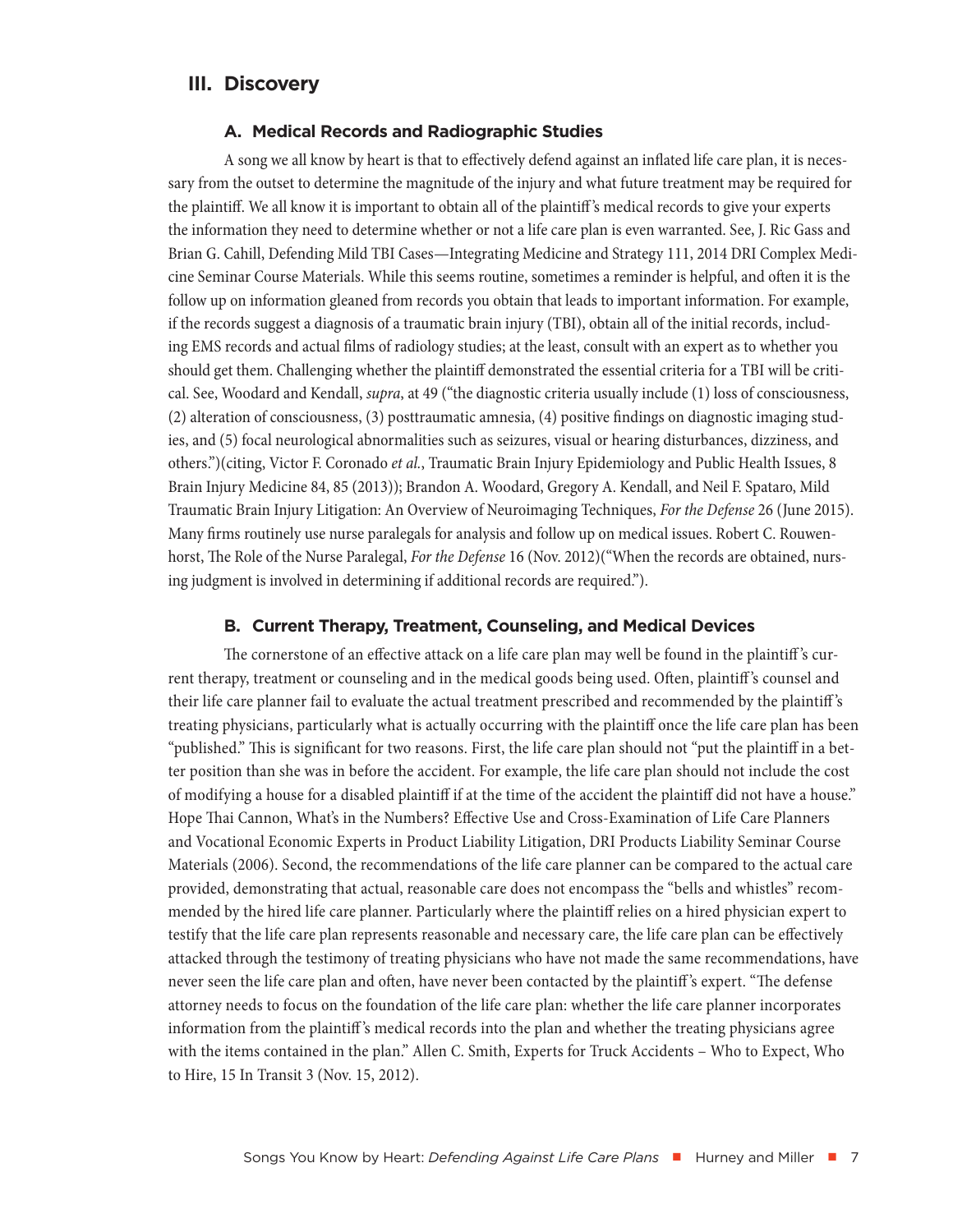## <span id="page-6-0"></span>**III. Discovery**

#### **A. Medical Records and Radiographic Studies**

A song we all know by heart is that to effectively defend against an inflated life care plan, it is necessary from the outset to determine the magnitude of the injury and what future treatment may be required for the plaintiff. We all know it is important to obtain all of the plaintiff 's medical records to give your experts the information they need to determine whether or not a life care plan is even warranted. See, J. Ric Gass and Brian G. Cahill, Defending Mild TBI Cases—Integrating Medicine and Strategy 111, 2014 DRI Complex Medicine Seminar Course Materials. While this seems routine, sometimes a reminder is helpful, and often it is the follow up on information gleaned from records you obtain that leads to important information. For example, if the records suggest a diagnosis of a traumatic brain injury (TBI), obtain all of the initial records, including EMS records and actual films of radiology studies; at the least, consult with an expert as to whether you should get them. Challenging whether the plaintiff demonstrated the essential criteria for a TBI will be critical. See, Woodard and Kendall, *supra*, at 49 ("the diagnostic criteria usually include (1) loss of consciousness, (2) alteration of consciousness, (3) posttraumatic amnesia, (4) positive findings on diagnostic imaging studies, and (5) focal neurological abnormalities such as seizures, visual or hearing disturbances, dizziness, and others.")(citing, Victor F. Coronado *et al.*, Traumatic Brain Injury Epidemiology and Public Health Issues, 8 Brain Injury Medicine 84, 85 (2013)); Brandon A. Woodard, Gregory A. Kendall, and Neil F. Spataro, Mild Traumatic Brain Injury Litigation: An Overview of Neuroimaging Techniques, *For the Defense* 26 (June 2015). Many firms routinely use nurse paralegals for analysis and follow up on medical issues. Robert C. Rouwenhorst, The Role of the Nurse Paralegal, *For the Defense* 16 (Nov. 2012)("When the records are obtained, nursing judgment is involved in determining if additional records are required.").

#### **B. Current Therapy, Treatment, Counseling, and Medical Devices**

The cornerstone of an effective attack on a life care plan may well be found in the plaintiff 's current therapy, treatment or counseling and in the medical goods being used. Often, plaintiff 's counsel and their life care planner fail to evaluate the actual treatment prescribed and recommended by the plaintiff 's treating physicians, particularly what is actually occurring with the plaintiff once the life care plan has been "published." This is significant for two reasons. First, the life care plan should not "put the plaintiff in a better position than she was in before the accident. For example, the life care plan should not include the cost of modifying a house for a disabled plaintiff if at the time of the accident the plaintiff did not have a house." Hope Thai Cannon, What's in the Numbers? Effective Use and Cross-Examination of Life Care Planners and Vocational Economic Experts in Product Liability Litigation, DRI Products Liability Seminar Course Materials (2006). Second, the recommendations of the life care planner can be compared to the actual care provided, demonstrating that actual, reasonable care does not encompass the "bells and whistles" recommended by the hired life care planner. Particularly where the plaintiff relies on a hired physician expert to testify that the life care plan represents reasonable and necessary care, the life care plan can be effectively attacked through the testimony of treating physicians who have not made the same recommendations, have never seen the life care plan and often, have never been contacted by the plaintiff 's expert. "The defense attorney needs to focus on the foundation of the life care plan: whether the life care planner incorporates information from the plaintiff 's medical records into the plan and whether the treating physicians agree with the items contained in the plan." Allen C. Smith, Experts for Truck Accidents – Who to Expect, Who to Hire, 15 In Transit 3 (Nov. 15, 2012).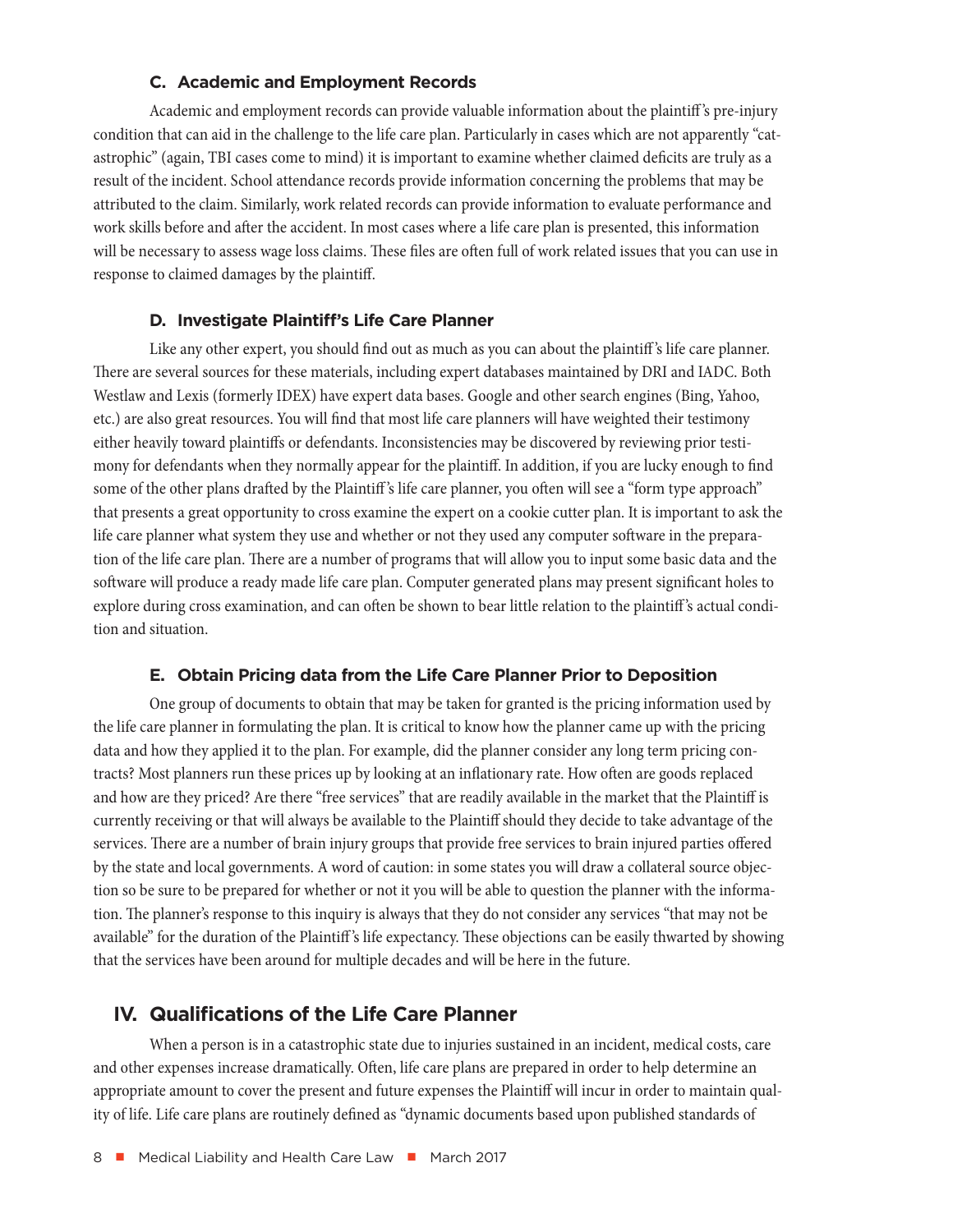#### **C. Academic and Employment Records**

<span id="page-7-0"></span>Academic and employment records can provide valuable information about the plaintiff 's pre-injury condition that can aid in the challenge to the life care plan. Particularly in cases which are not apparently "catastrophic" (again, TBI cases come to mind) it is important to examine whether claimed deficits are truly as a result of the incident. School attendance records provide information concerning the problems that may be attributed to the claim. Similarly, work related records can provide information to evaluate performance and work skills before and after the accident. In most cases where a life care plan is presented, this information will be necessary to assess wage loss claims. These files are often full of work related issues that you can use in response to claimed damages by the plaintiff.

#### **D. Investigate Plaintiff's Life Care Planner**

Like any other expert, you should find out as much as you can about the plaintiff 's life care planner. There are several sources for these materials, including expert databases maintained by DRI and IADC. Both Westlaw and Lexis (formerly IDEX) have expert data bases. Google and other search engines (Bing, Yahoo, etc.) are also great resources. You will find that most life care planners will have weighted their testimony either heavily toward plaintiffs or defendants. Inconsistencies may be discovered by reviewing prior testimony for defendants when they normally appear for the plaintiff. In addition, if you are lucky enough to find some of the other plans drafted by the Plaintiff 's life care planner, you often will see a "form type approach" that presents a great opportunity to cross examine the expert on a cookie cutter plan. It is important to ask the life care planner what system they use and whether or not they used any computer software in the preparation of the life care plan. There are a number of programs that will allow you to input some basic data and the software will produce a ready made life care plan. Computer generated plans may present significant holes to explore during cross examination, and can often be shown to bear little relation to the plaintiff 's actual condition and situation.

#### **E. Obtain Pricing data from the Life Care Planner Prior to Deposition**

One group of documents to obtain that may be taken for granted is the pricing information used by the life care planner in formulating the plan. It is critical to know how the planner came up with the pricing data and how they applied it to the plan. For example, did the planner consider any long term pricing contracts? Most planners run these prices up by looking at an inflationary rate. How often are goods replaced and how are they priced? Are there "free services" that are readily available in the market that the Plaintiff is currently receiving or that will always be available to the Plaintiff should they decide to take advantage of the services. There are a number of brain injury groups that provide free services to brain injured parties offered by the state and local governments. A word of caution: in some states you will draw a collateral source objection so be sure to be prepared for whether or not it you will be able to question the planner with the information. The planner's response to this inquiry is always that they do not consider any services "that may not be available" for the duration of the Plaintiff 's life expectancy. These objections can be easily thwarted by showing that the services have been around for multiple decades and will be here in the future.

## **IV. Qualifications of the Life Care Planner**

When a person is in a catastrophic state due to injuries sustained in an incident, medical costs, care and other expenses increase dramatically. Often, life care plans are prepared in order to help determine an appropriate amount to cover the present and future expenses the Plaintiff will incur in order to maintain quality of life. Life care plans are routinely defined as "dynamic documents based upon published standards of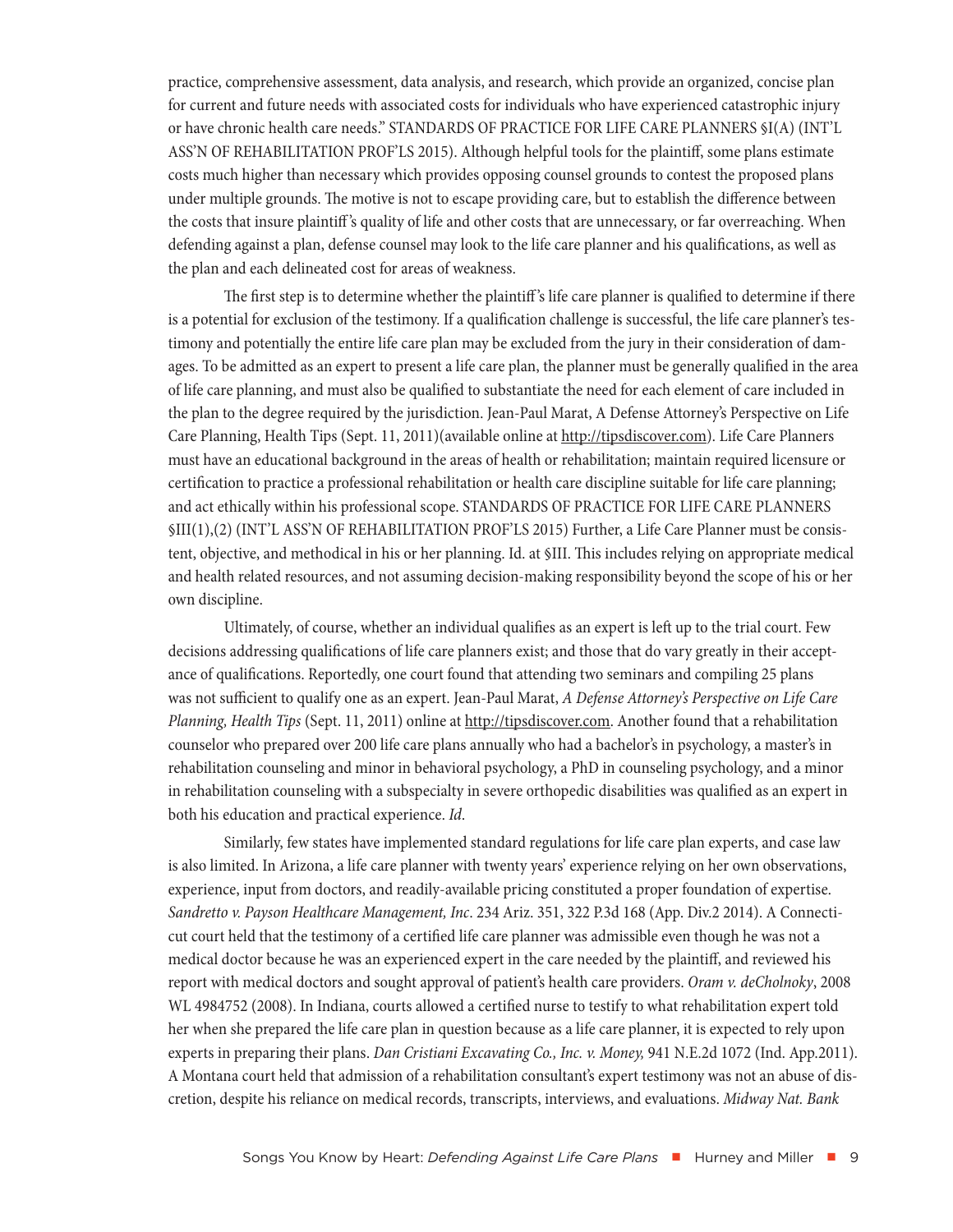practice, comprehensive assessment, data analysis, and research, which provide an organized, concise plan for current and future needs with associated costs for individuals who have experienced catastrophic injury or have chronic health care needs." STANDARDS OF PRACTICE FOR LIFE CARE PLANNERS §I(A) (INT'L ASS'N OF REHABILITATION PROF'LS 2015). Although helpful tools for the plaintiff, some plans estimate costs much higher than necessary which provides opposing counsel grounds to contest the proposed plans under multiple grounds. The motive is not to escape providing care, but to establish the difference between the costs that insure plaintiff 's quality of life and other costs that are unnecessary, or far overreaching. When defending against a plan, defense counsel may look to the life care planner and his qualifications, as well as the plan and each delineated cost for areas of weakness.

The first step is to determine whether the plaintiff 's life care planner is qualified to determine if there is a potential for exclusion of the testimony. If a qualification challenge is successful, the life care planner's testimony and potentially the entire life care plan may be excluded from the jury in their consideration of damages. To be admitted as an expert to present a life care plan, the planner must be generally qualified in the area of life care planning, and must also be qualified to substantiate the need for each element of care included in the plan to the degree required by the jurisdiction. Jean-Paul Marat, A Defense Attorney's Perspective on Life Care Planning, Health Tips (Sept. 11, 2011)(available online at http://tipsdiscover.com). Life Care Planners must have an educational background in the areas of health or rehabilitation; maintain required licensure or certification to practice a professional rehabilitation or health care discipline suitable for life care planning; and act ethically within his professional scope. STANDARDS OF PRACTICE FOR LIFE CARE PLANNERS §III(1),(2) (INT'L ASS'N OF REHABILITATION PROF'LS 2015) Further, a Life Care Planner must be consistent, objective, and methodical in his or her planning. Id. at §III. This includes relying on appropriate medical and health related resources, and not assuming decision-making responsibility beyond the scope of his or her own discipline.

Ultimately, of course, whether an individual qualifies as an expert is left up to the trial court. Few decisions addressing qualifications of life care planners exist; and those that do vary greatly in their acceptance of qualifications. Reportedly, one court found that attending two seminars and compiling 25 plans was not sufficient to qualify one as an expert. Jean-Paul Marat, *A Defense Attorney's Perspective on Life Care Planning, Health Tips* (Sept. 11, 2011) online at http://tipsdiscover.com. Another found that a rehabilitation counselor who prepared over 200 life care plans annually who had a bachelor's in psychology, a master's in rehabilitation counseling and minor in behavioral psychology, a PhD in counseling psychology, and a minor in rehabilitation counseling with a subspecialty in severe orthopedic disabilities was qualified as an expert in both his education and practical experience. *Id*.

Similarly, few states have implemented standard regulations for life care plan experts, and case law is also limited. In Arizona, a life care planner with twenty years' experience relying on her own observations, experience, input from doctors, and readily-available pricing constituted a proper foundation of expertise. *Sandretto v. Payson Healthcare Management, Inc*. 234 Ariz. 351, 322 P.3d 168 (App. Div.2 2014). A Connecticut court held that the testimony of a certified life care planner was admissible even though he was not a medical doctor because he was an experienced expert in the care needed by the plaintiff, and reviewed his report with medical doctors and sought approval of patient's health care providers. *Oram v. deCholnoky*, 2008 WL 4984752 (2008). In Indiana, courts allowed a certified nurse to testify to what rehabilitation expert told her when she prepared the life care plan in question because as a life care planner, it is expected to rely upon experts in preparing their plans. *Dan Cristiani Excavating Co., Inc. v. Money,* 941 N.E.2d 1072 (Ind. App.2011). A Montana court held that admission of a rehabilitation consultant's expert testimony was not an abuse of discretion, despite his reliance on medical records, transcripts, interviews, and evaluations. *Midway Nat. Bank*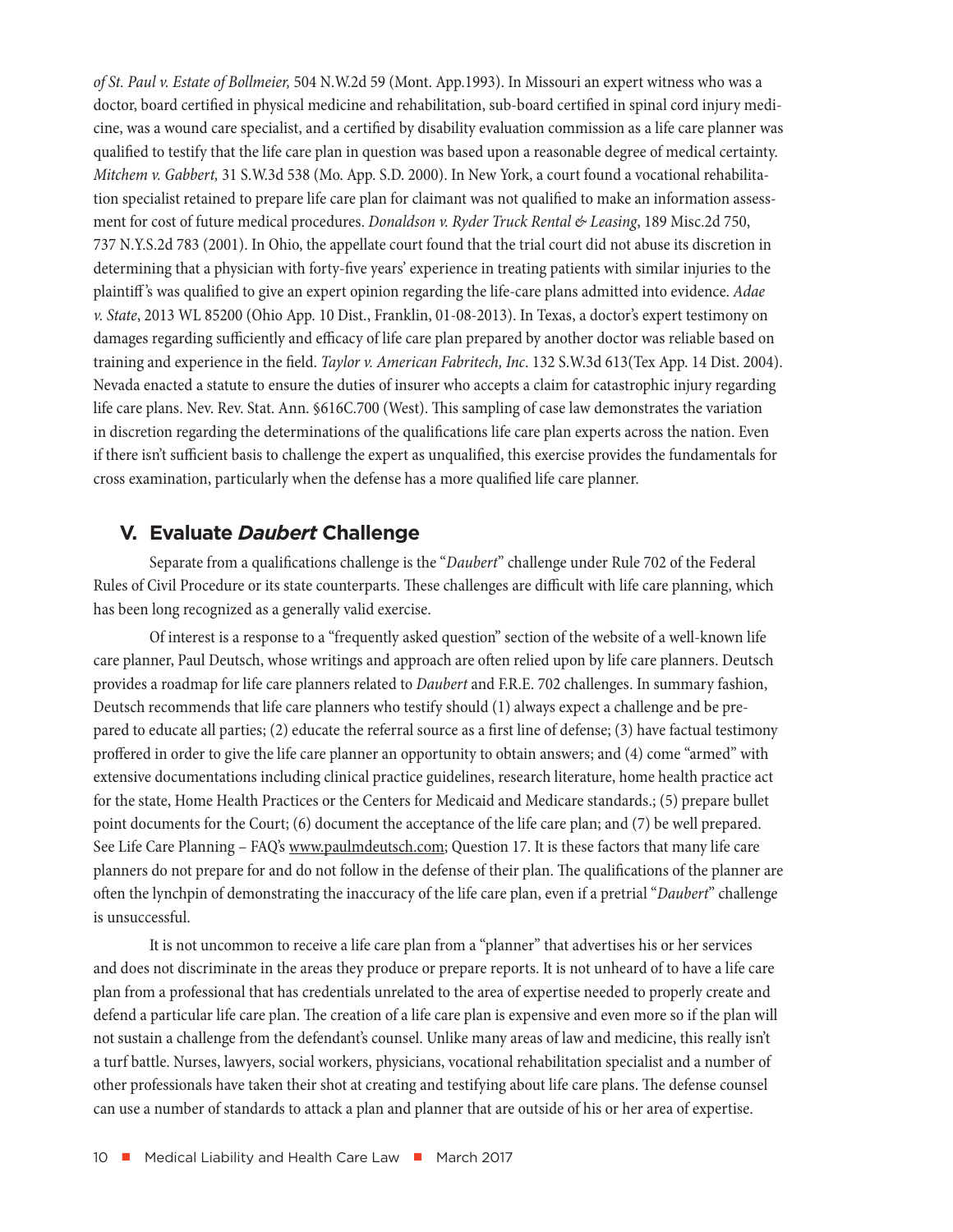<span id="page-9-0"></span>*of St. Paul v. Estate of Bollmeier,* 504 N.W.2d 59 (Mont. App.1993). In Missouri an expert witness who was a doctor, board certified in physical medicine and rehabilitation, sub-board certified in spinal cord injury medicine, was a wound care specialist, and a certified by disability evaluation commission as a life care planner was qualified to testify that the life care plan in question was based upon a reasonable degree of medical certainty. *Mitchem v. Gabbert,* 31 S.W.3d 538 (Mo. App. S.D. 2000). In New York, a court found a vocational rehabilitation specialist retained to prepare life care plan for claimant was not qualified to make an information assessment for cost of future medical procedures. *Donaldson v. Ryder Truck Rental & Leasing*, 189 Misc.2d 750, 737 N.Y.S.2d 783 (2001). In Ohio, the appellate court found that the trial court did not abuse its discretion in determining that a physician with forty-five years' experience in treating patients with similar injuries to the plaintiff 's was qualified to give an expert opinion regarding the life-care plans admitted into evidence. *Adae v. State*, 2013 WL 85200 (Ohio App. 10 Dist., Franklin, 01-08-2013). In Texas, a doctor's expert testimony on damages regarding sufficiently and efficacy of life care plan prepared by another doctor was reliable based on training and experience in the field. *Taylor v. American Fabritech, Inc*. 132 S.W.3d 613(Tex App. 14 Dist. 2004). Nevada enacted a statute to ensure the duties of insurer who accepts a claim for catastrophic injury regarding life care plans. Nev. Rev. Stat. Ann. §616C.700 (West). This sampling of case law demonstrates the variation in discretion regarding the determinations of the qualifications life care plan experts across the nation. Even if there isn't sufficient basis to challenge the expert as unqualified, this exercise provides the fundamentals for cross examination, particularly when the defense has a more qualified life care planner.

#### **V. Evaluate** *Daubert* **Challenge**

Separate from a qualifications challenge is the "*Daubert*" challenge under Rule 702 of the Federal Rules of Civil Procedure or its state counterparts. These challenges are difficult with life care planning, which has been long recognized as a generally valid exercise.

Of interest is a response to a "frequently asked question" section of the website of a well-known life care planner, Paul Deutsch, whose writings and approach are often relied upon by life care planners. Deutsch provides a roadmap for life care planners related to *Daubert* and F.R.E. 702 challenges. In summary fashion, Deutsch recommends that life care planners who testify should (1) always expect a challenge and be prepared to educate all parties; (2) educate the referral source as a first line of defense; (3) have factual testimony proffered in order to give the life care planner an opportunity to obtain answers; and (4) come "armed" with extensive documentations including clinical practice guidelines, research literature, home health practice act for the state, Home Health Practices or the Centers for Medicaid and Medicare standards.; (5) prepare bullet point documents for the Court; (6) document the acceptance of the life care plan; and (7) be well prepared. See Life Care Planning - FAQ's www.paulmdeutsch.com; Question 17. It is these factors that many life care planners do not prepare for and do not follow in the defense of their plan. The qualifications of the planner are often the lynchpin of demonstrating the inaccuracy of the life care plan, even if a pretrial "*Daubert*" challenge is unsuccessful.

It is not uncommon to receive a life care plan from a "planner" that advertises his or her services and does not discriminate in the areas they produce or prepare reports. It is not unheard of to have a life care plan from a professional that has credentials unrelated to the area of expertise needed to properly create and defend a particular life care plan. The creation of a life care plan is expensive and even more so if the plan will not sustain a challenge from the defendant's counsel. Unlike many areas of law and medicine, this really isn't a turf battle. Nurses, lawyers, social workers, physicians, vocational rehabilitation specialist and a number of other professionals have taken their shot at creating and testifying about life care plans. The defense counsel can use a number of standards to attack a plan and planner that are outside of his or her area of expertise.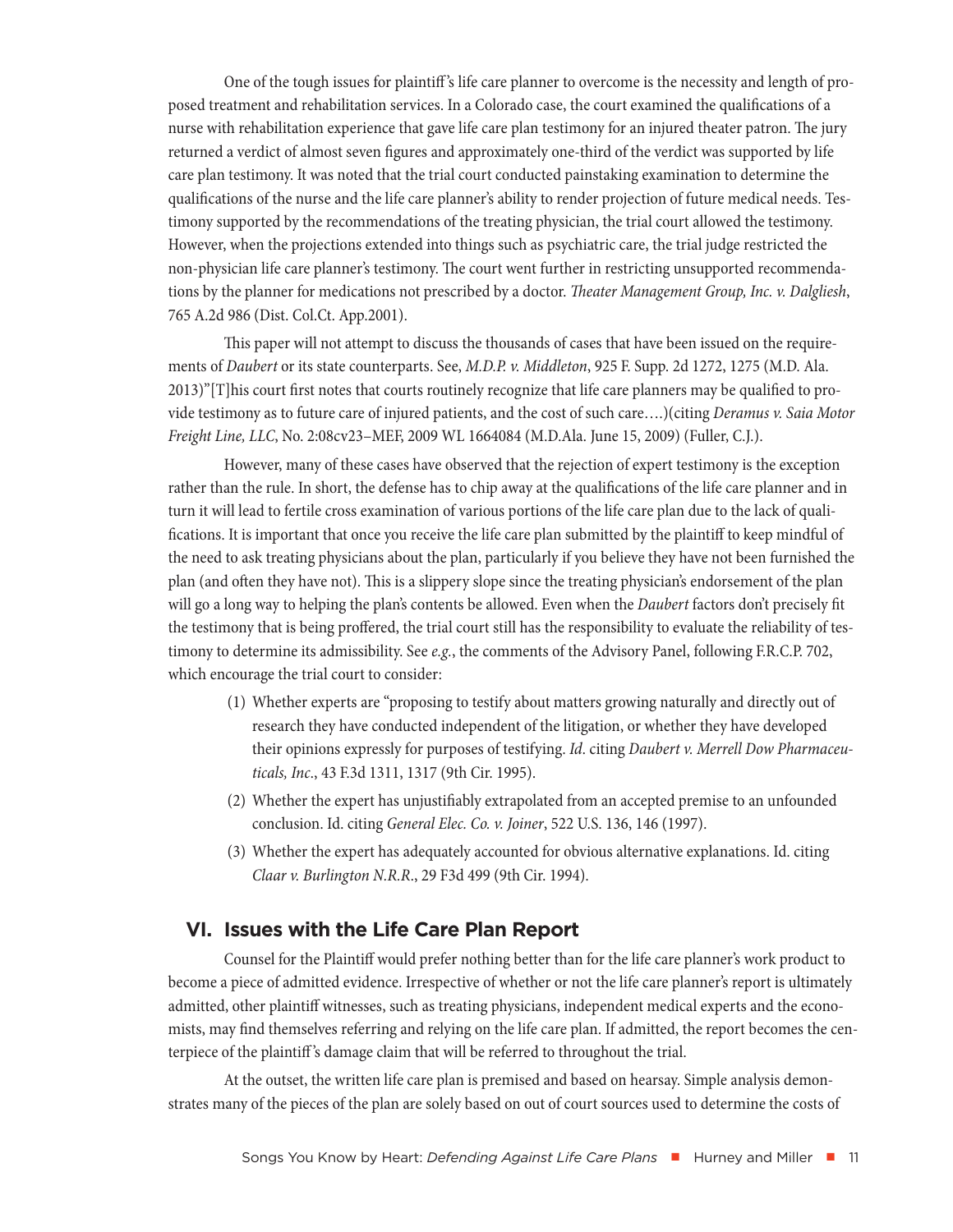<span id="page-10-0"></span>One of the tough issues for plaintiff 's life care planner to overcome is the necessity and length of proposed treatment and rehabilitation services. In a Colorado case, the court examined the qualifications of a nurse with rehabilitation experience that gave life care plan testimony for an injured theater patron. The jury returned a verdict of almost seven figures and approximately one-third of the verdict was supported by life care plan testimony. It was noted that the trial court conducted painstaking examination to determine the qualifications of the nurse and the life care planner's ability to render projection of future medical needs. Testimony supported by the recommendations of the treating physician, the trial court allowed the testimony. However, when the projections extended into things such as psychiatric care, the trial judge restricted the non-physician life care planner's testimony. The court went further in restricting unsupported recommendations by the planner for medications not prescribed by a doctor. *Theater Management Group, Inc. v. Dalgliesh*, 765 A.2d 986 (Dist. Col.Ct. App.2001).

This paper will not attempt to discuss the thousands of cases that have been issued on the requirements of *Daubert* or its state counterparts. See, *M.D.P. v. Middleton*, 925 F. Supp. 2d 1272, 1275 (M.D. Ala. 2013)"[T]his court first notes that courts routinely recognize that life care planners may be qualified to provide testimony as to future care of injured patients, and the cost of such care….)(citing *Deramus v. Saia Motor Freight Line, LLC*, No. 2:08cv23–MEF, 2009 WL 1664084 (M.D.Ala. June 15, 2009) (Fuller, C.J.).

However, many of these cases have observed that the rejection of expert testimony is the exception rather than the rule. In short, the defense has to chip away at the qualifications of the life care planner and in turn it will lead to fertile cross examination of various portions of the life care plan due to the lack of qualifications. It is important that once you receive the life care plan submitted by the plaintiff to keep mindful of the need to ask treating physicians about the plan, particularly if you believe they have not been furnished the plan (and often they have not). This is a slippery slope since the treating physician's endorsement of the plan will go a long way to helping the plan's contents be allowed. Even when the *Daubert* factors don't precisely fit the testimony that is being proffered, the trial court still has the responsibility to evaluate the reliability of testimony to determine its admissibility. See *e.g.*, the comments of the Advisory Panel, following F.R.C.P. 702, which encourage the trial court to consider:

- (1) Whether experts are "proposing to testify about matters growing naturally and directly out of research they have conducted independent of the litigation, or whether they have developed their opinions expressly for purposes of testifying. *Id*. citing *Daubert v. Merrell Dow Pharmaceuticals, Inc*., 43 F.3d 1311, 1317 (9th Cir. 1995).
- (2) Whether the expert has unjustifiably extrapolated from an accepted premise to an unfounded conclusion. Id. citing *General Elec. Co. v. Joiner*, 522 U.S. 136, 146 (1997).
- (3) Whether the expert has adequately accounted for obvious alternative explanations. Id. citing *Claar v. Burlington N.R.R*., 29 F3d 499 (9th Cir. 1994).

## **VI. Issues with the Life Care Plan Report**

Counsel for the Plaintiff would prefer nothing better than for the life care planner's work product to become a piece of admitted evidence. Irrespective of whether or not the life care planner's report is ultimately admitted, other plaintiff witnesses, such as treating physicians, independent medical experts and the economists, may find themselves referring and relying on the life care plan. If admitted, the report becomes the centerpiece of the plaintiff 's damage claim that will be referred to throughout the trial.

At the outset, the written life care plan is premised and based on hearsay. Simple analysis demonstrates many of the pieces of the plan are solely based on out of court sources used to determine the costs of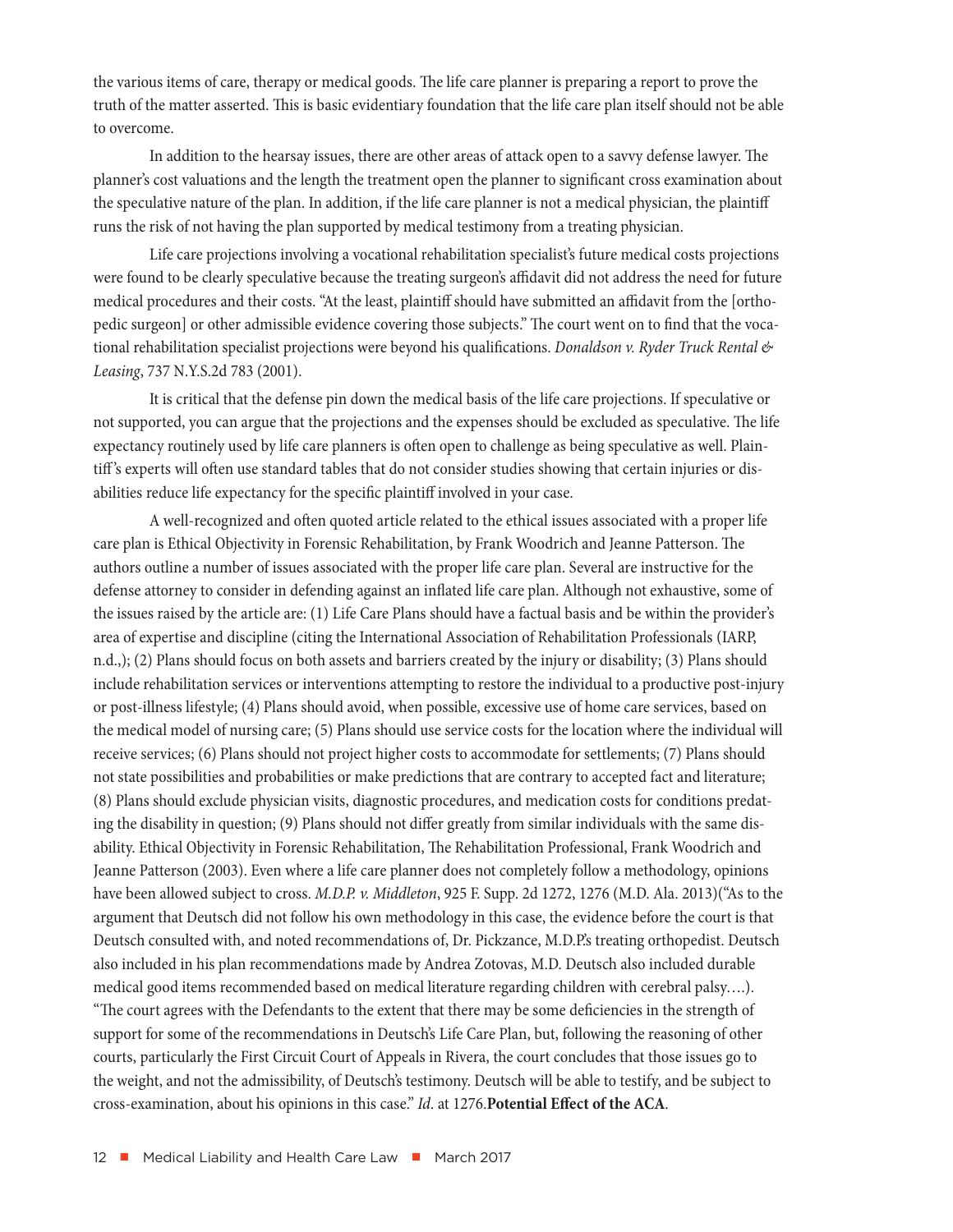the various items of care, therapy or medical goods. The life care planner is preparing a report to prove the truth of the matter asserted. This is basic evidentiary foundation that the life care plan itself should not be able to overcome.

In addition to the hearsay issues, there are other areas of attack open to a savvy defense lawyer. The planner's cost valuations and the length the treatment open the planner to significant cross examination about the speculative nature of the plan. In addition, if the life care planner is not a medical physician, the plaintiff runs the risk of not having the plan supported by medical testimony from a treating physician.

Life care projections involving a vocational rehabilitation specialist's future medical costs projections were found to be clearly speculative because the treating surgeon's affidavit did not address the need for future medical procedures and their costs. "At the least, plaintiff should have submitted an affidavit from the [orthopedic surgeon] or other admissible evidence covering those subjects." The court went on to find that the vocational rehabilitation specialist projections were beyond his qualifications. *Donaldson v. Ryder Truck Rental & Leasing*, 737 N.Y.S.2d 783 (2001).

It is critical that the defense pin down the medical basis of the life care projections. If speculative or not supported, you can argue that the projections and the expenses should be excluded as speculative. The life expectancy routinely used by life care planners is often open to challenge as being speculative as well. Plaintiff 's experts will often use standard tables that do not consider studies showing that certain injuries or disabilities reduce life expectancy for the specific plaintiff involved in your case.

A well-recognized and often quoted article related to the ethical issues associated with a proper life care plan is Ethical Objectivity in Forensic Rehabilitation, by Frank Woodrich and Jeanne Patterson. The authors outline a number of issues associated with the proper life care plan. Several are instructive for the defense attorney to consider in defending against an inflated life care plan. Although not exhaustive, some of the issues raised by the article are: (1) Life Care Plans should have a factual basis and be within the provider's area of expertise and discipline (citing the International Association of Rehabilitation Professionals (IARP, n.d.,); (2) Plans should focus on both assets and barriers created by the injury or disability; (3) Plans should include rehabilitation services or interventions attempting to restore the individual to a productive post-injury or post-illness lifestyle; (4) Plans should avoid, when possible, excessive use of home care services, based on the medical model of nursing care; (5) Plans should use service costs for the location where the individual will receive services; (6) Plans should not project higher costs to accommodate for settlements; (7) Plans should not state possibilities and probabilities or make predictions that are contrary to accepted fact and literature; (8) Plans should exclude physician visits, diagnostic procedures, and medication costs for conditions predating the disability in question; (9) Plans should not differ greatly from similar individuals with the same disability. Ethical Objectivity in Forensic Rehabilitation, The Rehabilitation Professional, Frank Woodrich and Jeanne Patterson (2003). Even where a life care planner does not completely follow a methodology, opinions have been allowed subject to cross. *M.D.P. v. Middleton*, 925 F. Supp. 2d 1272, 1276 (M.D. Ala. 2013)("As to the argument that Deutsch did not follow his own methodology in this case, the evidence before the court is that Deutsch consulted with, and noted recommendations of, Dr. Pickzance, M.D.P.'s treating orthopedist. Deutsch also included in his plan recommendations made by Andrea Zotovas, M.D. Deutsch also included durable medical good items recommended based on medical literature regarding children with cerebral palsy….). "The court agrees with the Defendants to the extent that there may be some deficiencies in the strength of

support for some of the recommendations in Deutsch's Life Care Plan, but, following the reasoning of other courts, particularly the First Circuit Court of Appeals in Rivera, the court concludes that those issues go to the weight, and not the admissibility, of Deutsch's testimony. Deutsch will be able to testify, and be subject to cross-examination, about his opinions in this case." *Id*. at 1276.**Potential Effect of the ACA**.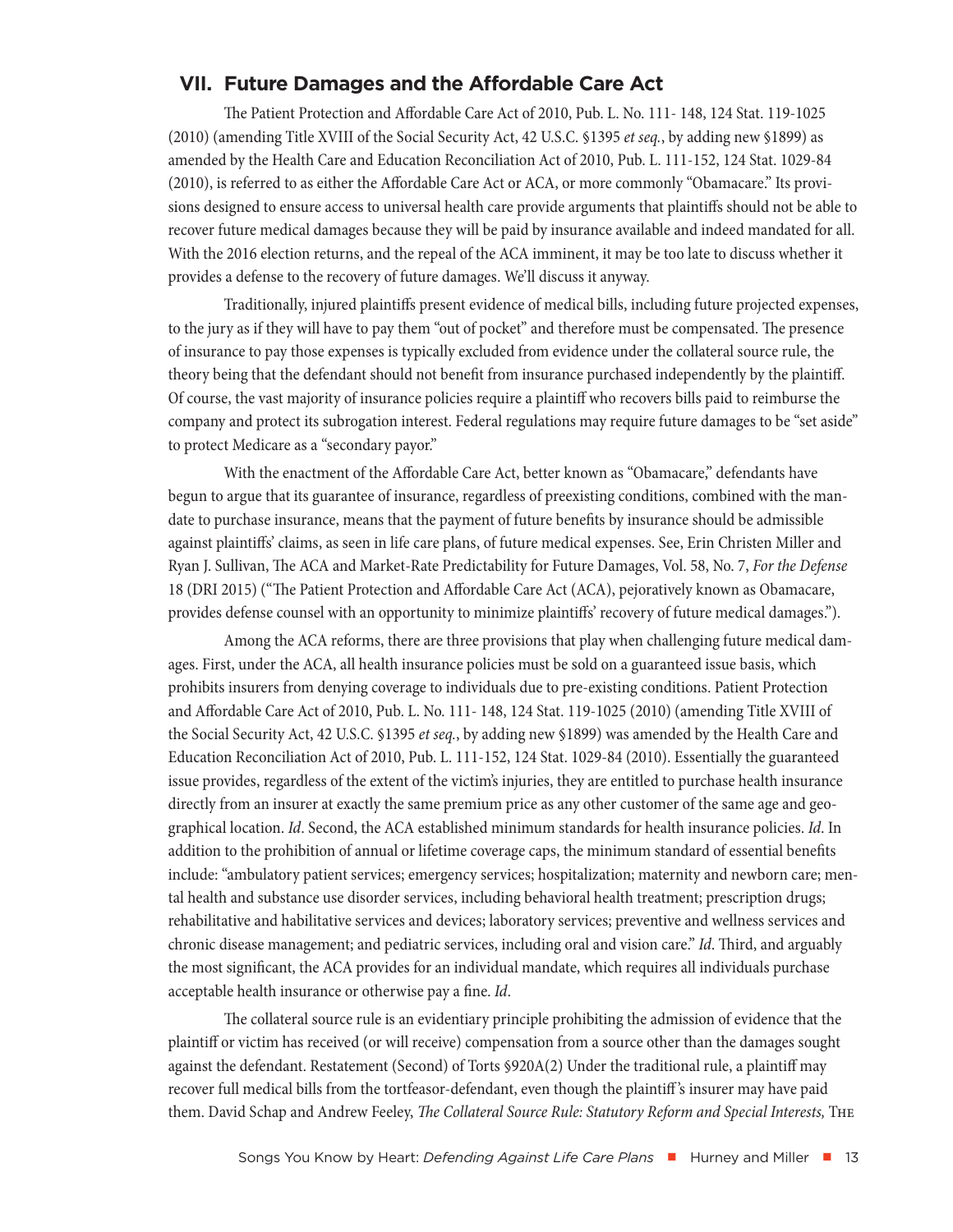## <span id="page-12-0"></span>**VII. Future Damages and the Affordable Care Act**

The Patient Protection and Affordable Care Act of 2010, Pub. L. No. 111- 148, 124 Stat. 119-1025 (2010) (amending Title XVIII of the Social Security Act, 42 U.S.C. §1395 *et seq.*, by adding new §1899) as amended by the Health Care and Education Reconciliation Act of 2010, Pub. L. 111-152, 124 Stat. 1029-84 (2010), is referred to as either the Affordable Care Act or ACA, or more commonly "Obamacare." Its provisions designed to ensure access to universal health care provide arguments that plaintiffs should not be able to recover future medical damages because they will be paid by insurance available and indeed mandated for all. With the 2016 election returns, and the repeal of the ACA imminent, it may be too late to discuss whether it provides a defense to the recovery of future damages. We'll discuss it anyway.

Traditionally, injured plaintiffs present evidence of medical bills, including future projected expenses, to the jury as if they will have to pay them "out of pocket" and therefore must be compensated. The presence of insurance to pay those expenses is typically excluded from evidence under the collateral source rule, the theory being that the defendant should not benefit from insurance purchased independently by the plaintiff. Of course, the vast majority of insurance policies require a plaintiff who recovers bills paid to reimburse the company and protect its subrogation interest. Federal regulations may require future damages to be "set aside" to protect Medicare as a "secondary payor."

With the enactment of the Affordable Care Act, better known as "Obamacare," defendants have begun to argue that its guarantee of insurance, regardless of preexisting conditions, combined with the mandate to purchase insurance, means that the payment of future benefits by insurance should be admissible against plaintiffs' claims, as seen in life care plans, of future medical expenses. See, Erin Christen Miller and Ryan J. Sullivan, The ACA and Market-Rate Predictability for Future Damages, Vol. 58, No. 7, *For the Defense* 18 (DRI 2015) ("The Patient Protection and Affordable Care Act (ACA), pejoratively known as Obamacare, provides defense counsel with an opportunity to minimize plaintiffs' recovery of future medical damages.").

Among the ACA reforms, there are three provisions that play when challenging future medical damages. First, under the ACA, all health insurance policies must be sold on a guaranteed issue basis, which prohibits insurers from denying coverage to individuals due to pre-existing conditions. Patient Protection and Affordable Care Act of 2010, Pub. L. No. 111- 148, 124 Stat. 119-1025 (2010) (amending Title XVIII of the Social Security Act, 42 U.S.C. §1395 *et seq.*, by adding new §1899) was amended by the Health Care and Education Reconciliation Act of 2010, Pub. L. 111-152, 124 Stat. 1029-84 (2010). Essentially the guaranteed issue provides, regardless of the extent of the victim's injuries, they are entitled to purchase health insurance directly from an insurer at exactly the same premium price as any other customer of the same age and geographical location. *Id*. Second, the ACA established minimum standards for health insurance policies. *Id*. In addition to the prohibition of annual or lifetime coverage caps, the minimum standard of essential benefits include: "ambulatory patient services; emergency services; hospitalization; maternity and newborn care; mental health and substance use disorder services, including behavioral health treatment; prescription drugs; rehabilitative and habilitative services and devices; laboratory services; preventive and wellness services and chronic disease management; and pediatric services, including oral and vision care." *Id*. Third, and arguably the most significant, the ACA provides for an individual mandate, which requires all individuals purchase acceptable health insurance or otherwise pay a fine. *Id*.

The collateral source rule is an evidentiary principle prohibiting the admission of evidence that the plaintiff or victim has received (or will receive) compensation from a source other than the damages sought against the defendant. Restatement (Second) of Torts §920A(2) Under the traditional rule, a plaintiff may recover full medical bills from the tortfeasor-defendant, even though the plaintiff 's insurer may have paid them. David Schap and Andrew Feeley, *The Collateral Source Rule: Statutory Reform and Special Interests,* The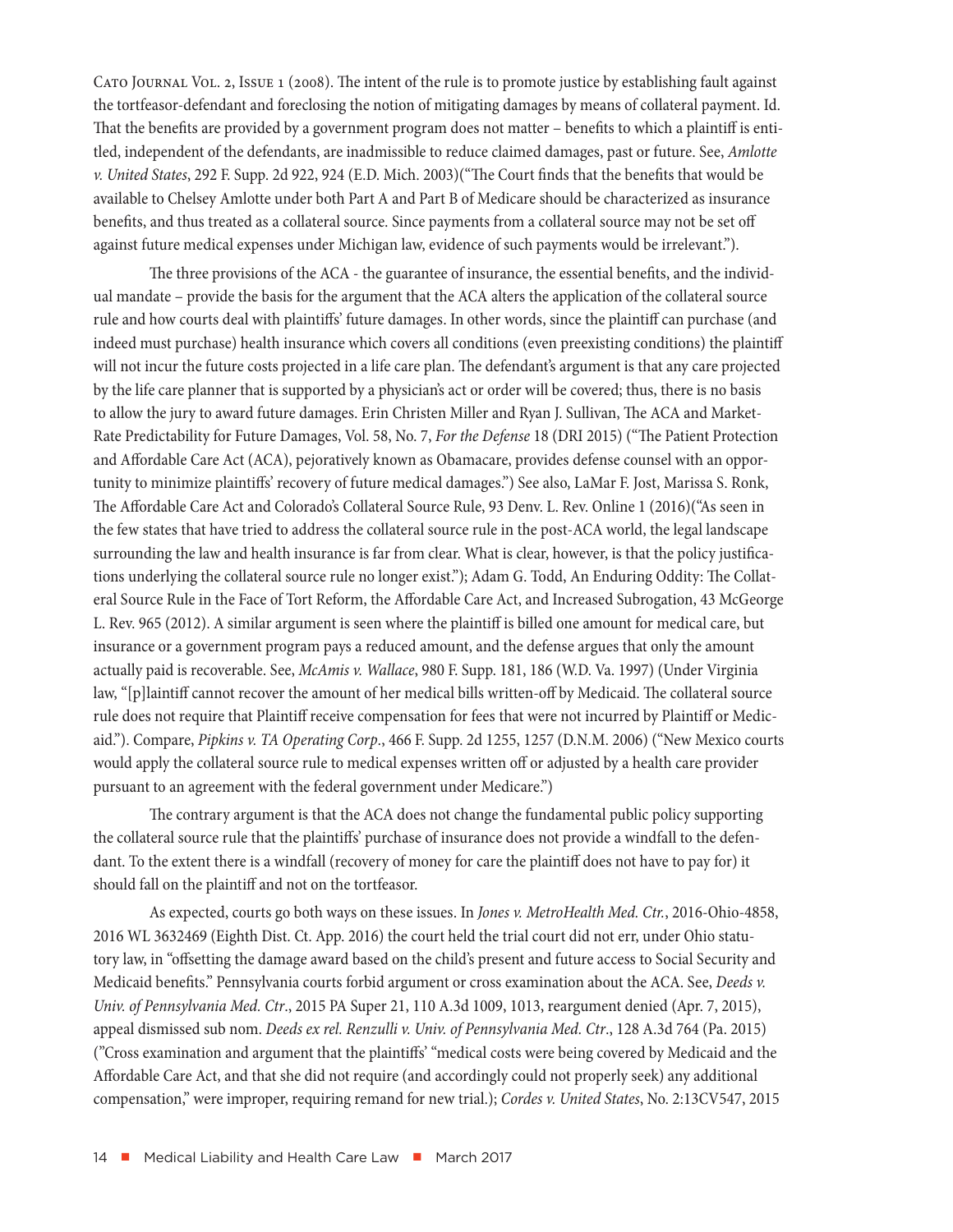Cato Journal Vol. 2, Issue 1 (2008). The intent of the rule is to promote justice by establishing fault against the tortfeasor-defendant and foreclosing the notion of mitigating damages by means of collateral payment. Id. That the benefits are provided by a government program does not matter – benefits to which a plaintiff is entitled, independent of the defendants, are inadmissible to reduce claimed damages, past or future. See, *Amlotte v. United States*, 292 F. Supp. 2d 922, 924 (E.D. Mich. 2003)("The Court finds that the benefits that would be available to Chelsey Amlotte under both Part A and Part B of Medicare should be characterized as insurance benefits, and thus treated as a collateral source. Since payments from a collateral source may not be set off against future medical expenses under Michigan law, evidence of such payments would be irrelevant.").

The three provisions of the ACA - the guarantee of insurance, the essential benefits, and the individual mandate – provide the basis for the argument that the ACA alters the application of the collateral source rule and how courts deal with plaintiffs' future damages. In other words, since the plaintiff can purchase (and indeed must purchase) health insurance which covers all conditions (even preexisting conditions) the plaintiff will not incur the future costs projected in a life care plan. The defendant's argument is that any care projected by the life care planner that is supported by a physician's act or order will be covered; thus, there is no basis to allow the jury to award future damages. Erin Christen Miller and Ryan J. Sullivan, The ACA and Market-Rate Predictability for Future Damages, Vol. 58, No. 7, *For the Defense* 18 (DRI 2015) ("The Patient Protection and Affordable Care Act (ACA), pejoratively known as Obamacare, provides defense counsel with an opportunity to minimize plaintiffs' recovery of future medical damages.") See also, LaMar F. Jost, Marissa S. Ronk, The Affordable Care Act and Colorado's Collateral Source Rule, 93 Denv. L. Rev. Online 1 (2016)("As seen in the few states that have tried to address the collateral source rule in the post-ACA world, the legal landscape surrounding the law and health insurance is far from clear. What is clear, however, is that the policy justifications underlying the collateral source rule no longer exist."); Adam G. Todd, An Enduring Oddity: The Collateral Source Rule in the Face of Tort Reform, the Affordable Care Act, and Increased Subrogation, 43 McGeorge L. Rev. 965 (2012). A similar argument is seen where the plaintiff is billed one amount for medical care, but insurance or a government program pays a reduced amount, and the defense argues that only the amount actually paid is recoverable. See, *McAmis v. Wallace*, 980 F. Supp. 181, 186 (W.D. Va. 1997) (Under Virginia law, "[p]laintiff cannot recover the amount of her medical bills written-off by Medicaid. The collateral source rule does not require that Plaintiff receive compensation for fees that were not incurred by Plaintiff or Medicaid."). Compare, *Pipkins v. TA Operating Corp*., 466 F. Supp. 2d 1255, 1257 (D.N.M. 2006) ("New Mexico courts would apply the collateral source rule to medical expenses written off or adjusted by a health care provider pursuant to an agreement with the federal government under Medicare.")

The contrary argument is that the ACA does not change the fundamental public policy supporting the collateral source rule that the plaintiffs' purchase of insurance does not provide a windfall to the defendant. To the extent there is a windfall (recovery of money for care the plaintiff does not have to pay for) it should fall on the plaintiff and not on the tortfeasor.

As expected, courts go both ways on these issues. In *Jones v. MetroHealth Med. Ctr.*, 2016-Ohio-4858, 2016 WL 3632469 (Eighth Dist. Ct. App. 2016) the court held the trial court did not err, under Ohio statutory law, in "offsetting the damage award based on the child's present and future access to Social Security and Medicaid benefits." Pennsylvania courts forbid argument or cross examination about the ACA. See, *Deeds v. Univ. of Pennsylvania Med. Ctr*., 2015 PA Super 21, 110 A.3d 1009, 1013, reargument denied (Apr. 7, 2015), appeal dismissed sub nom. *Deeds ex rel. Renzulli v. Univ. of Pennsylvania Med. Ctr*., 128 A.3d 764 (Pa. 2015) ("Cross examination and argument that the plaintiffs' "medical costs were being covered by Medicaid and the Affordable Care Act, and that she did not require (and accordingly could not properly seek) any additional compensation," were improper, requiring remand for new trial.); *Cordes v. United States*, No. 2:13CV547, 2015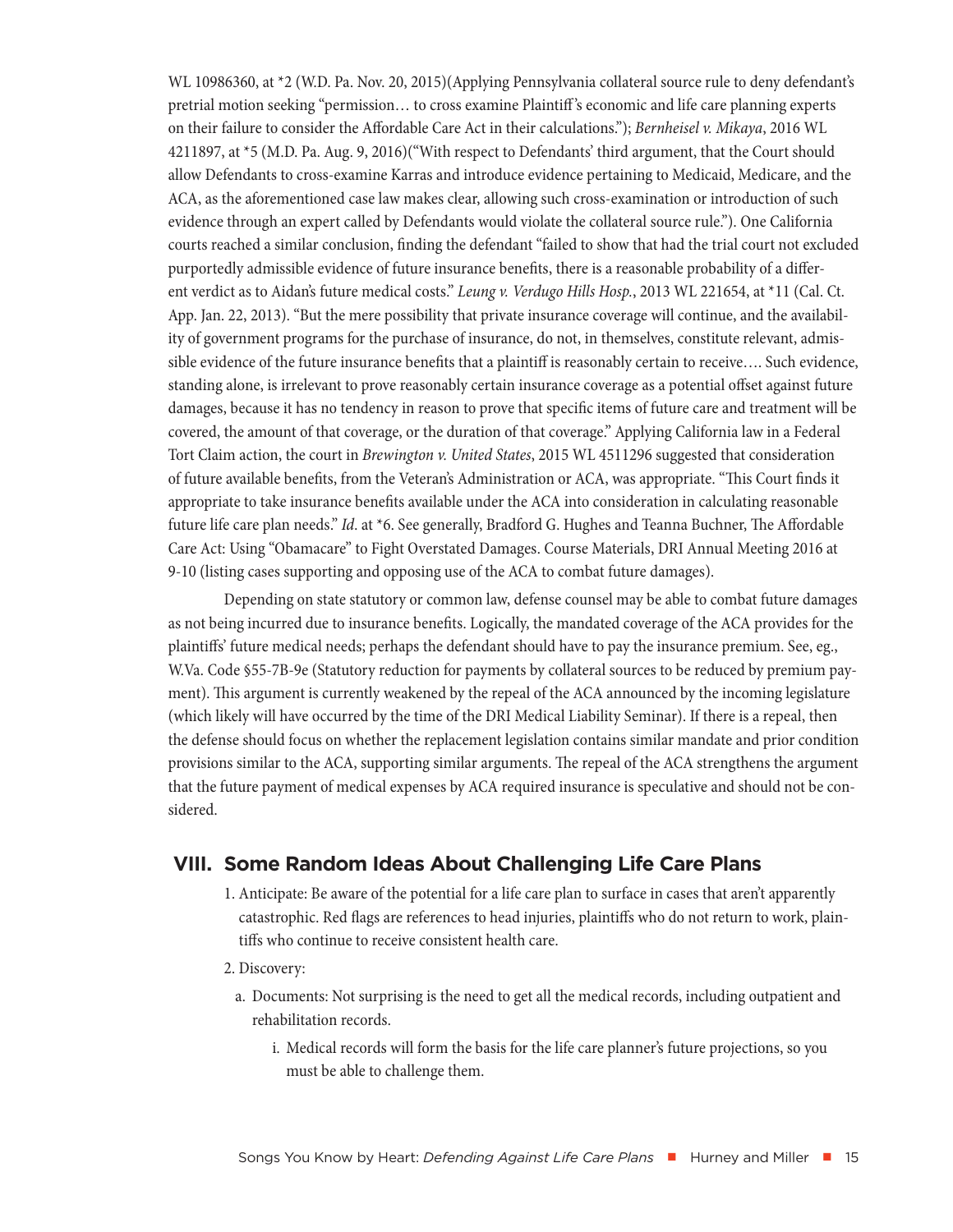<span id="page-14-0"></span>WL 10986360, at \*2 (W.D. Pa. Nov. 20, 2015)(Applying Pennsylvania collateral source rule to deny defendant's pretrial motion seeking "permission… to cross examine Plaintiff 's economic and life care planning experts on their failure to consider the Affordable Care Act in their calculations."); *Bernheisel v. Mikaya*, 2016 WL 4211897, at \*5 (M.D. Pa. Aug. 9, 2016)("With respect to Defendants' third argument, that the Court should allow Defendants to cross-examine Karras and introduce evidence pertaining to Medicaid, Medicare, and the ACA, as the aforementioned case law makes clear, allowing such cross-examination or introduction of such evidence through an expert called by Defendants would violate the collateral source rule."). One California courts reached a similar conclusion, finding the defendant "failed to show that had the trial court not excluded purportedly admissible evidence of future insurance benefits, there is a reasonable probability of a different verdict as to Aidan's future medical costs." *Leung v. Verdugo Hills Hosp.*, 2013 WL 221654, at \*11 (Cal. Ct. App. Jan. 22, 2013). "But the mere possibility that private insurance coverage will continue, and the availability of government programs for the purchase of insurance, do not, in themselves, constitute relevant, admissible evidence of the future insurance benefits that a plaintiff is reasonably certain to receive…. Such evidence, standing alone, is irrelevant to prove reasonably certain insurance coverage as a potential offset against future damages, because it has no tendency in reason to prove that specific items of future care and treatment will be covered, the amount of that coverage, or the duration of that coverage." Applying California law in a Federal Tort Claim action, the court in *Brewington v. United States*, 2015 WL 4511296 suggested that consideration of future available benefits, from the Veteran's Administration or ACA, was appropriate. "This Court finds it appropriate to take insurance benefits available under the ACA into consideration in calculating reasonable future life care plan needs." *Id*. at \*6. See generally, Bradford G. Hughes and Teanna Buchner, The Affordable Care Act: Using "Obamacare" to Fight Overstated Damages. Course Materials, DRI Annual Meeting 2016 at 9-10 (listing cases supporting and opposing use of the ACA to combat future damages).

Depending on state statutory or common law, defense counsel may be able to combat future damages as not being incurred due to insurance benefits. Logically, the mandated coverage of the ACA provides for the plaintiffs' future medical needs; perhaps the defendant should have to pay the insurance premium. See, eg., W.Va. Code §55-7B-9e (Statutory reduction for payments by collateral sources to be reduced by premium payment). This argument is currently weakened by the repeal of the ACA announced by the incoming legislature (which likely will have occurred by the time of the DRI Medical Liability Seminar). If there is a repeal, then the defense should focus on whether the replacement legislation contains similar mandate and prior condition provisions similar to the ACA, supporting similar arguments. The repeal of the ACA strengthens the argument that the future payment of medical expenses by ACA required insurance is speculative and should not be considered.

## **VIII. Some Random Ideas About Challenging Life Care Plans**

- 1. Anticipate: Be aware of the potential for a life care plan to surface in cases that aren't apparently catastrophic. Red flags are references to head injuries, plaintiffs who do not return to work, plaintiffs who continue to receive consistent health care.
- 2. Discovery:
	- a. Documents: Not surprising is the need to get all the medical records, including outpatient and rehabilitation records.
		- i. Medical records will form the basis for the life care planner's future projections, so you must be able to challenge them.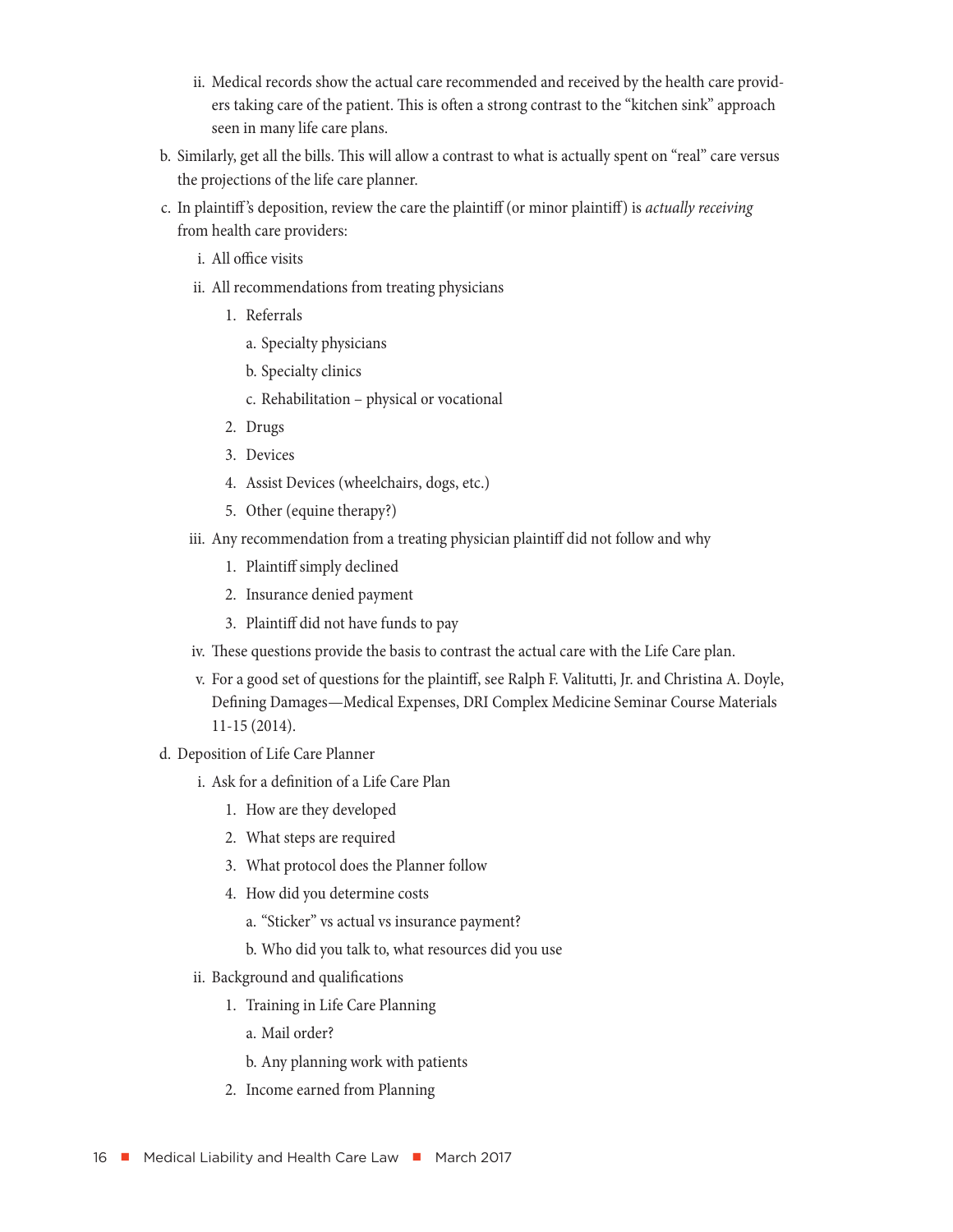- ii. Medical records show the actual care recommended and received by the health care providers taking care of the patient. This is often a strong contrast to the "kitchen sink" approach seen in many life care plans.
- b. Similarly, get all the bills. This will allow a contrast to what is actually spent on "real" care versus the projections of the life care planner.
- c. In plaintiff 's deposition, review the care the plaintiff (or minor plaintiff) is *actually receiving* from health care providers:
	- i. All office visits
	- ii. All recommendations from treating physicians
		- 1. Referrals
			- a. Specialty physicians
			- b. Specialty clinics
			- c. Rehabilitation physical or vocational
		- 2. Drugs
		- 3. Devices
		- 4. Assist Devices (wheelchairs, dogs, etc.)
		- 5. Other (equine therapy?)
	- iii. Any recommendation from a treating physician plaintiff did not follow and why
		- 1. Plaintiff simply declined
		- 2. Insurance denied payment
		- 3. Plaintiff did not have funds to pay
	- iv. These questions provide the basis to contrast the actual care with the Life Care plan.
	- v. For a good set of questions for the plaintiff, see Ralph F. Valitutti, Jr. and Christina A. Doyle, Defining Damages—Medical Expenses, DRI Complex Medicine Seminar Course Materials 11-15 (2014).
- d. Deposition of Life Care Planner
	- i. Ask for a definition of a Life Care Plan
		- 1. How are they developed
		- 2. What steps are required
		- 3. What protocol does the Planner follow
		- 4. How did you determine costs
			- a. "Sticker" vs actual vs insurance payment?
			- b. Who did you talk to, what resources did you use
	- ii. Background and qualifications
		- 1. Training in Life Care Planning
			- a. Mail order?
			- b. Any planning work with patients
		- 2. Income earned from Planning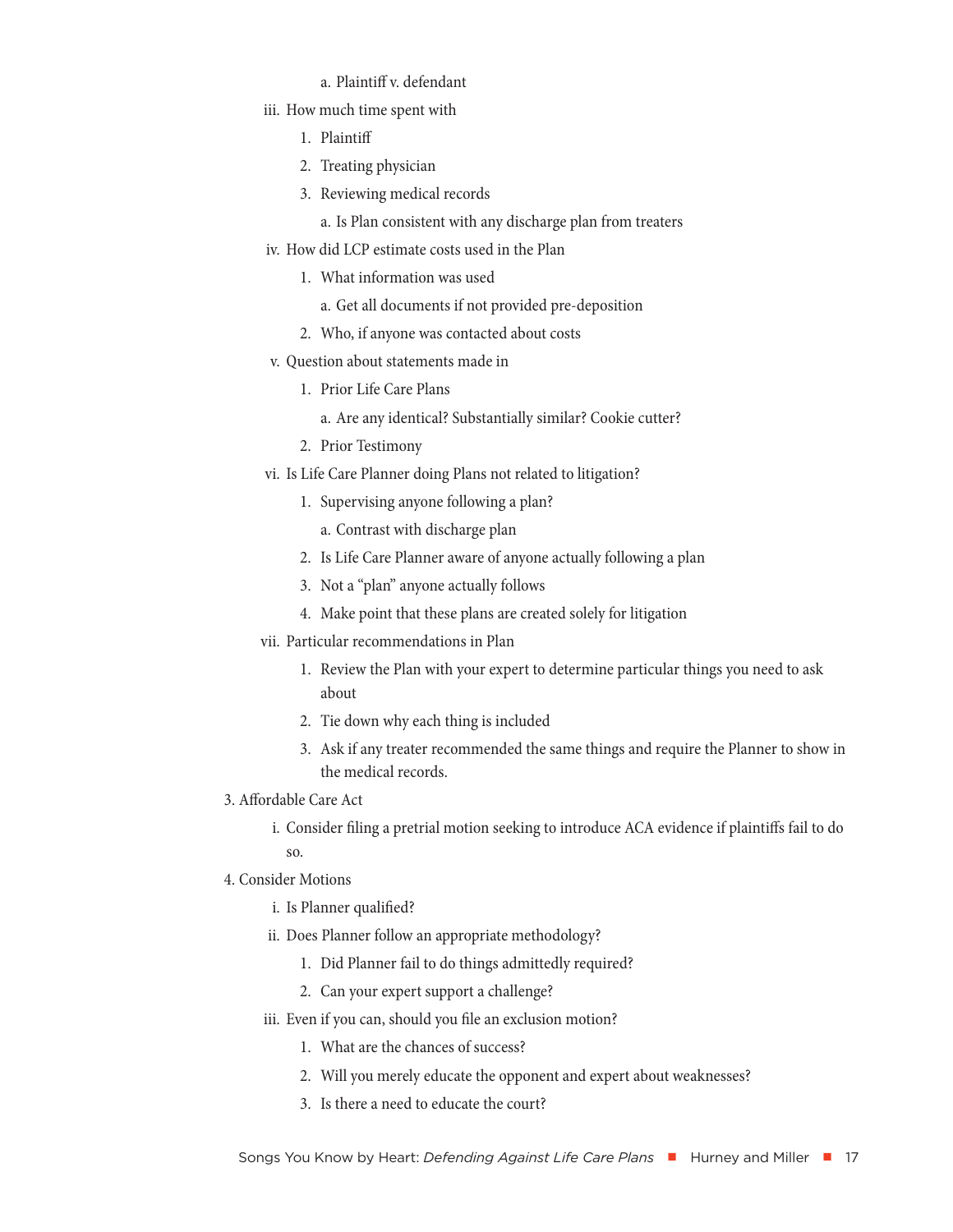#### a. Plaintiff v. defendant

- iii. How much time spent with
	- 1. Plaintiff
	- 2. Treating physician
	- 3. Reviewing medical records
		- a. Is Plan consistent with any discharge plan from treaters
- iv. How did LCP estimate costs used in the Plan
	- 1. What information was used
		- a. Get all documents if not provided pre-deposition
	- 2. Who, if anyone was contacted about costs
- v. Question about statements made in
	- 1. Prior Life Care Plans
		- a. Are any identical? Substantially similar? Cookie cutter?
	- 2. Prior Testimony
- vi. Is Life Care Planner doing Plans not related to litigation?
	- 1. Supervising anyone following a plan?
		- a. Contrast with discharge plan
	- 2. Is Life Care Planner aware of anyone actually following a plan
	- 3. Not a "plan" anyone actually follows
	- 4. Make point that these plans are created solely for litigation
- vii. Particular recommendations in Plan
	- 1. Review the Plan with your expert to determine particular things you need to ask about
	- 2. Tie down why each thing is included
	- 3. Ask if any treater recommended the same things and require the Planner to show in the medical records.
- 3. Affordable Care Act
	- i. Consider filing a pretrial motion seeking to introduce ACA evidence if plaintiffs fail to do so.
- 4. Consider Motions
	- i. Is Planner qualified?
	- ii. Does Planner follow an appropriate methodology?
		- 1. Did Planner fail to do things admittedly required?
		- 2. Can your expert support a challenge?
	- iii. Even if you can, should you file an exclusion motion?
		- 1. What are the chances of success?
		- 2. Will you merely educate the opponent and expert about weaknesses?
		- 3. Is there a need to educate the court?